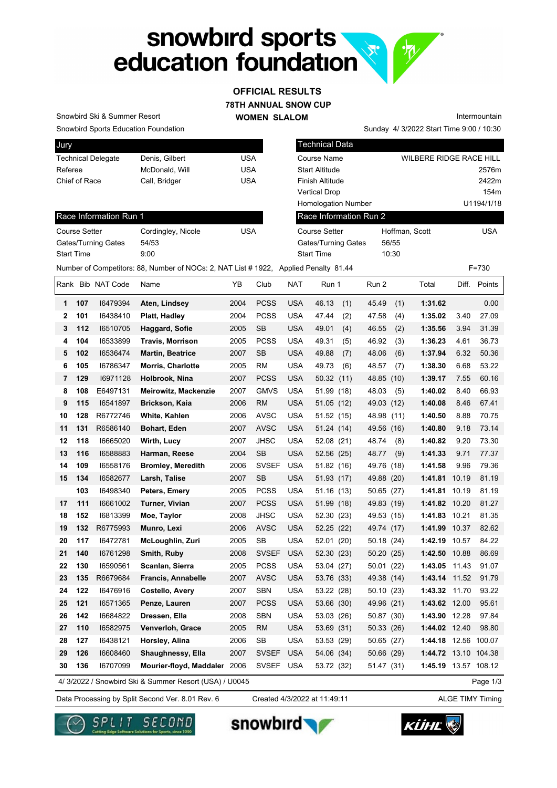# snowbird sports<br>education foundation

### **78TH ANNUAL SNOW CUP WOMEN SLALOM OFFICIAL RESULTS**

Snowbird Ski & Summer Resort

Snowbird Sports Education Foundation

| <b>Jury</b>               |                |     |
|---------------------------|----------------|-----|
| <b>Technical Delegate</b> | Denis, Gilbert | USA |
| Referee                   | McDonald, Will | USA |
| Chief of Race             | Call, Bridger  | USA |
|                           |                |     |

Technical Data Course Name WILBERE RIDGE RACE HILL Start Altitude 2576m Finish Altitude 2422m Vertical Drop 154m Homologation Number U1194/1/18 Hoffman, Scott USA Gates/Turning Gates 56/55 Start Time 10:30 Race Information Run 2 Course Setter

Sunday 4/ 3/2022 Start Time 9:00 / 10:30

Intermountain

Race Information Run 1

| Course Setter       | Cordingley, Nicole | USA |
|---------------------|--------------------|-----|
| Gates/Turning Gates | 54/53              |     |
| <b>Start Time</b>   | 9:00               |     |

|              |     |                   | Number of Competitors: 88, Number of NOCs: 2, NAT List #1922, Applied Penalty 81.44 |      |              |            |              |               |                      |       | $F = 730$    |
|--------------|-----|-------------------|-------------------------------------------------------------------------------------|------|--------------|------------|--------------|---------------|----------------------|-------|--------------|
|              |     | Rank Bib NAT Code | Name                                                                                | YB   | Club         | <b>NAT</b> | Run 1        | Run 2         | Total                |       | Diff. Points |
| 1            | 107 | 16479394          | Aten, Lindsey                                                                       | 2004 | <b>PCSS</b>  | <b>USA</b> | 46.13<br>(1) | 45.49<br>(1)  | 1:31.62              |       | 0.00         |
| $\mathbf{2}$ | 101 | 16438410          | Platt, Hadley                                                                       | 2004 | <b>PCSS</b>  | <b>USA</b> | 47.44<br>(2) | 47.58<br>(4)  | 1:35.02              | 3.40  | 27.09        |
| 3            | 112 | 16510705          | Haggard, Sofie                                                                      | 2005 | <b>SB</b>    | <b>USA</b> | 49.01<br>(4) | 46.55<br>(2)  | 1:35.56              | 3.94  | 31.39        |
| 4            | 104 | 16533899          | <b>Travis, Morrison</b>                                                             | 2005 | <b>PCSS</b>  | USA        | 49.31<br>(5) | 46.92<br>(3)  | 1:36.23              | 4.61  | 36.73        |
| 5            | 102 | 16536474          | <b>Martin, Beatrice</b>                                                             | 2007 | <b>SB</b>    | <b>USA</b> | 49.88<br>(7) | 48.06<br>(6)  | 1:37.94              | 6.32  | 50.36        |
| 6            | 105 | 16786347          | <b>Morris, Charlotte</b>                                                            | 2005 | RM           | <b>USA</b> | 49.73<br>(6) | 48.57<br>(7)  | 1:38.30              | 6.68  | 53.22        |
| 7            | 129 | 16971128          | Holbrook, Nina                                                                      | 2007 | <b>PCSS</b>  | <b>USA</b> | 50.32 (11)   | 48.85 (10)    | 1:39.17              | 7.55  | 60.16        |
| 8            | 108 | E6497131          | <b>Meirowitz, Mackenzie</b>                                                         | 2007 | <b>GMVS</b>  | <b>USA</b> | 51.99 (18)   | 48.03<br>(5)  | 1:40.02              | 8.40  | 66.93        |
| 9            | 115 | 16541897          | <b>Brickson, Kaia</b>                                                               | 2006 | <b>RM</b>    | <b>USA</b> | 51.05 (12)   | 49.03<br>(12) | 1:40.08              | 8.46  | 67.41        |
| 10           | 128 | R6772746          | White, Kahlen                                                                       | 2006 | <b>AVSC</b>  | <b>USA</b> | 51.52 (15)   | 48.98 (11)    | 1:40.50              | 8.88  | 70.75        |
| 11           | 131 | R6586140          | <b>Bohart, Eden</b>                                                                 | 2007 | <b>AVSC</b>  | <b>USA</b> | 51.24 (14)   | 49.56 (16)    | 1:40.80              | 9.18  | 73.14        |
| 12           | 118 | 16665020          | Wirth, Lucy                                                                         | 2007 | <b>JHSC</b>  | <b>USA</b> | 52.08 (21)   | 48.74<br>(8)  | 1:40.82              | 9.20  | 73.30        |
| 13           | 116 | 16588883          | Harman, Reese                                                                       | 2004 | <b>SB</b>    | <b>USA</b> | 52.56 (25)   | 48.77<br>(9)  | 1:41.33              | 9.71  | 77.37        |
| 14           | 109 | 16558176          | <b>Bromley, Meredith</b>                                                            | 2006 | <b>SVSEF</b> | <b>USA</b> | 51.82 (16)   | 49.76<br>(18) | 1:41.58              | 9.96  | 79.36        |
| 15           | 134 | 16582677          | Larsh, Talise                                                                       | 2007 | SB           | <b>USA</b> | 51.93 (17)   | 49.88 (20)    | 1:41.81              | 10.19 | 81.19        |
|              | 103 | 16498340          | Peters, Emery                                                                       | 2005 | <b>PCSS</b>  | <b>USA</b> | 51.16 (13)   | 50.65 (27)    | 1:41.81 10.19        |       | 81.19        |
| 17           | 111 | 16661002          | Turner, Vivian                                                                      | 2007 | <b>PCSS</b>  | <b>USA</b> | 51.99 (18)   | 49.83 (19)    | 1:41.82 10.20        |       | 81.27        |
| 18           | 152 | 16813399          | Moe, Taylor                                                                         | 2008 | <b>JHSC</b>  | <b>USA</b> | 52.30 (23)   | 49.53 (15)    | 1:41.83 10.21        |       | 81.35        |
| 19           | 132 | R6775993          | Munro, Lexi                                                                         | 2006 | <b>AVSC</b>  | <b>USA</b> | 52.25 (22)   | 49.74 (17)    | 1:41.99              | 10.37 | 82.62        |
| 20           | 117 | 16472781          | McLoughlin, Zuri                                                                    | 2005 | <b>SB</b>    | <b>USA</b> | 52.01 (20)   | 50.18 (24)    | 1:42.19 10.57        |       | 84.22        |
| 21           | 140 | 16761298          | Smith, Ruby                                                                         | 2008 | <b>SVSEF</b> | <b>USA</b> | 52.30 (23)   | 50.20 (25)    | 1:42.50 10.88        |       | 86.69        |
| 22           | 130 | 16590561          | Scanlan, Sierra                                                                     | 2005 | <b>PCSS</b>  | <b>USA</b> | 53.04 (27)   | 50.01 (22)    | 1:43.05 11.43        |       | 91.07        |
| 23           | 135 | R6679684          | <b>Francis, Annabelle</b>                                                           | 2007 | <b>AVSC</b>  | <b>USA</b> | 53.76 (33)   | 49.38 (14)    | 1:43.14 11.52        |       | 91.79        |
| 24           | 122 | 16476916          | Costello, Avery                                                                     | 2007 | <b>SBN</b>   | <b>USA</b> | 53.22 (28)   | 50.10 (23)    | 1:43.32 11.70        |       | 93.22        |
| 25           | 121 | 16571365          | Penze, Lauren                                                                       | 2007 | <b>PCSS</b>  | <b>USA</b> | 53.66 (30)   | 49.96 (21)    | 1:43.62 12.00        |       | 95.61        |
| 26           | 142 | 16684822          | Dressen, Ella                                                                       | 2008 | <b>SBN</b>   | <b>USA</b> | 53.03 (26)   | 50.87 (30)    | 1:43.90 12.28        |       | 97.84        |
| 27           | 110 | 16582975          | Venverloh, Grace                                                                    | 2005 | <b>RM</b>    | <b>USA</b> | 53.69 (31)   | 50.33 (26)    | 1:44.02 12.40        |       | 98.80        |
| 28           | 127 | 16438121          | Horsley, Alina                                                                      | 2006 | SB           | <b>USA</b> | 53.53 (29)   | 50.65 (27)    | 1:44.18 12.56 100.07 |       |              |
| 29           | 126 | 16608460          | Shaughnessy, Ella                                                                   | 2007 | <b>SVSEF</b> | <b>USA</b> | 54.06 (34)   | 50.66 (29)    | 1:44.72 13.10 104.38 |       |              |
| 30           | 136 | 16707099          | Mourier-floyd, Maddaler 2006                                                        |      | <b>SVSEF</b> | <b>USA</b> | 53.72 (32)   | 51.47 (31)    | 1:45.19 13.57 108.12 |       |              |
|              |     |                   | 4/ 3/2022 / Snowbird Ski & Summer Resort (USA) / U0045                              |      |              |            |              |               |                      |       | Page 1/3     |

4/ 3/2022 / Snowbird Ski & Summer Resort (USA) / U0045

Data Processing by Split Second Ver. 8.01 Rev. 6 Created 4/3/2022 at 11:49:11 ALGE TIMY Timing Created 4/3/2022 at 11:49:11







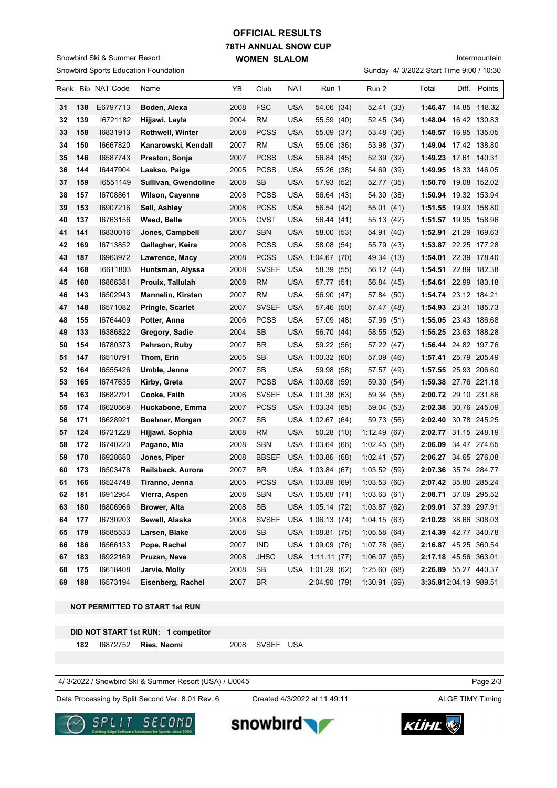### Snowbird Sports Education Foundation Snowbird Ski & Summer Resort

# **78TH ANNUAL SNOW CUP WOMEN SLALOM OFFICIAL RESULTS**

Sunday 4/ 3/2022 Start Time 9:00 / 10:30 Intermountain

|    |     | Rank Bib NAT Code | Name                     | YB   | Club         | NAT        | Run 1            | Run 2        | Total                 | Diff. Points |
|----|-----|-------------------|--------------------------|------|--------------|------------|------------------|--------------|-----------------------|--------------|
| 31 | 138 | E6797713          | Boden, Alexa             | 2008 | <b>FSC</b>   | <b>USA</b> | 54.06 (34)       | 52.41 (33)   | 1:46.47 14.85 118.32  |              |
| 32 | 139 | 16721182          | Hijjawi, Layla           | 2004 | RM           | <b>USA</b> | 55.59 (40)       | 52.45 (34)   | 1:48.04 16.42 130.83  |              |
| 33 | 158 | 16831913          | <b>Rothwell, Winter</b>  | 2008 | <b>PCSS</b>  | <b>USA</b> | 55.09 (37)       | 53.48 (36)   | 1:48.57 16.95 135.05  |              |
| 34 | 150 | 16667820          | Kanarowski, Kendall      | 2007 | RM           | <b>USA</b> | 55.06 (36)       | 53.98 (37)   | 1:49.04 17.42 138.80  |              |
| 35 | 146 | 16587743          | Preston, Sonja           | 2007 | <b>PCSS</b>  | <b>USA</b> | 56.84 (45)       | 52.39 (32)   | 1:49.23 17.61 140.31  |              |
| 36 | 144 | 16447904          | Laakso, Paige            | 2005 | <b>PCSS</b>  | USA        | 55.26 (38)       | 54.69 (39)   | 1:49.95 18.33 146.05  |              |
| 37 | 159 | 16551149          | Sullivan, Gwendoline     | 2008 | <b>SB</b>    | <b>USA</b> | 57.93 (52)       | 52.77 (35)   | 1:50.70 19.08 152.02  |              |
| 38 | 157 | 16708861          | <b>Wilson, Cayenne</b>   | 2008 | <b>PCSS</b>  | USA        | 56.64 (43)       | 54.30 (38)   | 1:50.94 19.32 153.94  |              |
| 39 | 153 | 16907216          | Sell, Ashley             | 2008 | <b>PCSS</b>  | USA        | 56.54 (42)       | 55.01 (41)   | 1:51.55 19.93 158.80  |              |
| 40 | 137 | 16763156          | Weed, Belle              | 2005 | <b>CVST</b>  | USA        | 56.44 (41)       | 55.13 (42)   | 1:51.57 19.95 158.96  |              |
| 41 | 141 | 16830016          | Jones, Campbell          | 2007 | <b>SBN</b>   | <b>USA</b> | 58.00 (53)       | 54.91 (40)   | 1:52.91 21.29 169.63  |              |
| 42 | 169 | 16713852          | Gallagher, Keira         | 2008 | <b>PCSS</b>  | <b>USA</b> | 58.08 (54)       | 55.79 (43)   | 1:53.87 22.25 177.28  |              |
| 43 | 187 | 16963972          | Lawrence, Macy           | 2008 | <b>PCSS</b>  | <b>USA</b> | 1:04.67(70)      | 49.34 (13)   | 1:54.01 22.39 178.40  |              |
| 44 | 168 | 16611803          | Huntsman, Alyssa         | 2008 | <b>SVSEF</b> | <b>USA</b> | 58.39 (55)       | 56.12 (44)   | 1:54.51 22.89 182.38  |              |
| 45 | 160 | 16866381          | Proulx, Tallulah         | 2008 | <b>RM</b>    | <b>USA</b> | 57.77 (51)       | 56.84 (45)   | 1:54.61 22.99 183.18  |              |
| 46 | 143 | 16502943          | <b>Mannelin, Kirsten</b> | 2007 | RM           | <b>USA</b> | 56.90 (47)       | 57.84 (50)   | 1:54.74 23.12 184.21  |              |
| 47 | 148 | 16571082          | <b>Pringle, Scarlet</b>  | 2007 | <b>SVSEF</b> | <b>USA</b> | 57.46 (50)       | 57.47 (48)   | 1:54.93 23.31 185.73  |              |
| 48 | 155 | 16764409          | Potter, Anna             | 2006 | <b>PCSS</b>  | USA        | 57.09 (48)       | 57.96 (51)   | 1:55.05 23.43 186.68  |              |
| 49 | 133 | 16386822          | Gregory, Sadie           | 2004 | SB           | USA        | 56.70 (44)       | 58.55 (52)   | 1:55.25 23.63 188.28  |              |
| 50 | 154 | 16780373          | Pehrson, Ruby            | 2007 | BR           | <b>USA</b> | 59.22 (56)       | 57.22 (47)   | 1:56.44 24.82 197.76  |              |
| 51 | 147 | 16510791          | Thom, Erin               | 2005 | SB           |            | USA 1:00.32 (60) | 57.09 (46)   | 1:57.41 25.79 205.49  |              |
| 52 | 164 | 16555426          | Umble, Jenna             | 2007 | SB           | <b>USA</b> | 59.98 (58)       | 57.57 (49)   | 1:57.55 25.93 206.60  |              |
| 53 | 165 | 16747635          | Kirby, Greta             | 2007 | <b>PCSS</b>  |            | USA 1:00.08 (59) | 59.30 (54)   | 1:59.38 27.76 221.18  |              |
| 54 | 163 | 16682791          | Cooke, Faith             | 2006 | <b>SVSEF</b> | USA        | 1:01.38(63)      | 59.34 (55)   | 2:00.72 29.10 231.86  |              |
| 55 | 174 | 16620569          | Huckabone, Emma          | 2007 | <b>PCSS</b>  |            | USA 1:03.34 (65) | 59.04 (53)   | 2:02.38 30.76 245.09  |              |
| 56 | 171 | 16628921          | Boehner, Morgan          | 2007 | SB           |            | USA 1:02.67 (64) | 59.73 (56)   | 2:02.40 30.78 245.25  |              |
| 57 | 124 | 16721228          | Hijjawi, Sophia          | 2008 | RM           | <b>USA</b> | 50.28 (10)       | 1:12.49(67)  | 2:02.77 31.15 248.19  |              |
| 58 | 172 | 16740220          | Pagano, Mia              | 2008 | <b>SBN</b>   |            | USA 1:03.64 (66) | 1:02.45(58)  | 2:06.09 34.47 274.65  |              |
| 59 | 170 | 16928680          | Jones, Piper             | 2008 | <b>BBSEF</b> |            | USA 1:03.86 (68) | 1:02.41(57)  | 2:06.27 34.65 276.08  |              |
| 60 | 173 | 16503478          | Railsback, Aurora        | 2007 | BR           |            | USA 1:03.84 (67) | 1:03.52 (59) | 2:07.36 35.74 284.77  |              |
| 61 | 166 | 16524748          | Tiranno, Jenna           | 2005 | <b>PCSS</b>  |            | USA 1:03.89 (69) | 1:03.53(60)  | 2:07.42 35.80 285.24  |              |
| 62 | 181 | 16912954          | Vierra. Aspen            | 2008 | <b>SBN</b>   |            | USA 1:05.08 (71) | 1:03.63(61)  | 2:08.71 37.09 295.52  |              |
| 63 | 180 | 16806966          | Brower, Alta             | 2008 | SB           |            | USA 1:05.14 (72) | 1:03.87(62)  | 2:09.01 37.39 297.91  |              |
| 64 | 177 | 16730203          | Sewell, Alaska           | 2008 | <b>SVSEF</b> |            | USA 1:06.13 (74) | 1:04.15(63)  | 2:10.28 38.66 308.03  |              |
| 65 | 179 | 16585533          | Larsen, Blake            | 2008 | SB           |            | USA 1:08.81 (75) | 1:05.58(64)  | 2:14.39 42.77 340.78  |              |
| 66 | 186 | 16566133          | Pope, Rachel             | 2007 | <b>IND</b>   |            | USA 1:09.09 (76) | 1:07.78 (66) | 2:16.87 45.25 360.54  |              |
| 67 | 183 | 16922169          | Pruzan, Neve             | 2008 | <b>JHSC</b>  |            | USA 1:11.11 (77) | 1:06.07(65)  | 2:17.18 45.56 363.01  |              |
| 68 | 175 | 16618408          | Jarvie, Molly            | 2008 | SB           |            | USA 1:01.29 (62) | 1:25.60(68)  | 2:26.89 55.27 440.37  |              |
| 69 | 188 | 16573194          | Eisenberg, Rachel        | 2007 | <b>BR</b>    |            | 2:04.90 (79)     | 1:30.91(69)  | 3:35.812:04.19 989.51 |              |

### **NOT PERMITTED TO START 1st RUN**

**DID NOT START 1st RUN: 1 competitor**

 **182** I6872752 **Ries, Naomi** 2008 SVSEF USA

4/ 3/2022 / Snowbird Ski & Summer Resort (USA) / U0045

Data Processing by Split Second Ver. 8.01 Rev. 6 Created 4/3/2022 at 11:49:11 ALGE TIMY Timing

Created 4/3/2022 at 11:49:11

Page 2/3